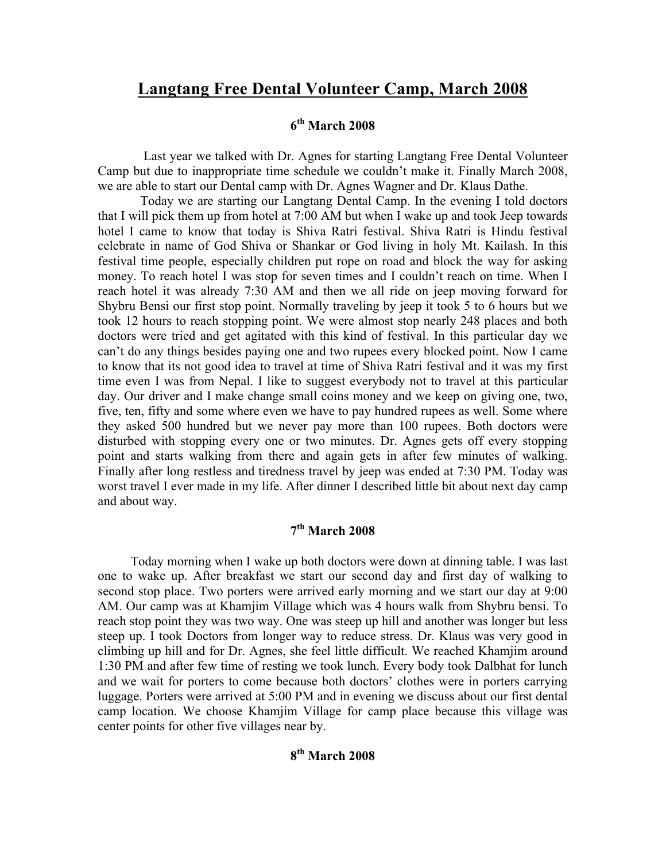# **Langtang Free Dental Volunteer Camp, March 2008**

# **6th March 2008**

 Last year we talked with Dr. Agnes for starting Langtang Free Dental Volunteer Camp but due to inappropriate time schedule we couldn't make it. Finally March 2008, we are able to start our Dental camp with Dr. Agnes Wagner and Dr. Klaus Dathe.

 Today we are starting our Langtang Dental Camp. In the evening I told doctors that I will pick them up from hotel at 7:00 AM but when I wake up and took Jeep towards hotel I came to know that today is Shiva Ratri festival. Shiva Ratri is Hindu festival celebrate in name of God Shiva or Shankar or God living in holy Mt. Kailash. In this festival time people, especially children put rope on road and block the way for asking money. To reach hotel I was stop for seven times and I couldn't reach on time. When I reach hotel it was already 7:30 AM and then we all ride on jeep moving forward for Shybru Bensi our first stop point. Normally traveling by jeep it took 5 to 6 hours but we took 12 hours to reach stopping point. We were almost stop nearly 248 places and both doctors were tried and get agitated with this kind of festival. In this particular day we can't do any things besides paying one and two rupees every blocked point. Now I came to know that its not good idea to travel at time of Shiva Ratri festival and it was my first time even I was from Nepal. I like to suggest everybody not to travel at this particular day. Our driver and I make change small coins money and we keep on giving one, two, five, ten, fifty and some where even we have to pay hundred rupees as well. Some where they asked 500 hundred but we never pay more than 100 rupees. Both doctors were disturbed with stopping every one or two minutes. Dr. Agnes gets off every stopping point and starts walking from there and again gets in after few minutes of walking. Finally after long restless and tiredness travel by jeep was ended at 7:30 PM. Today was worst travel I ever made in my life. After dinner I described little bit about next day camp and about way.

# **7th March 2008**

 Today morning when I wake up both doctors were down at dinning table. I was last one to wake up. After breakfast we start our second day and first day of walking to second stop place. Two porters were arrived early morning and we start our day at 9:00 AM. Our camp was at Khamjim Village which was 4 hours walk from Shybru bensi. To reach stop point they was two way. One was steep up hill and another was longer but less steep up. I took Doctors from longer way to reduce stress. Dr. Klaus was very good in climbing up hill and for Dr. Agnes, she feel little difficult. We reached Khamjim around 1:30 PM and after few time of resting we took lunch. Every body took Dalbhat for lunch and we wait for porters to come because both doctors' clothes were in porters carrying luggage. Porters were arrived at 5:00 PM and in evening we discuss about our first dental camp location. We choose Khamjim Village for camp place because this village was center points for other five villages near by.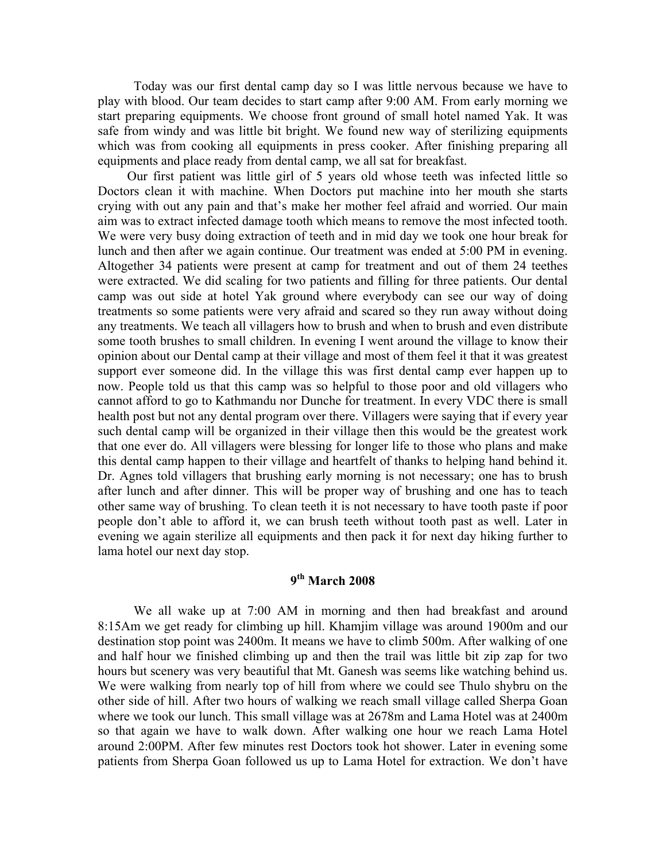Today was our first dental camp day so I was little nervous because we have to play with blood. Our team decides to start camp after 9:00 AM. From early morning we start preparing equipments. We choose front ground of small hotel named Yak. It was safe from windy and was little bit bright. We found new way of sterilizing equipments which was from cooking all equipments in press cooker. After finishing preparing all equipments and place ready from dental camp, we all sat for breakfast.

 Our first patient was little girl of 5 years old whose teeth was infected little so Doctors clean it with machine. When Doctors put machine into her mouth she starts crying with out any pain and that's make her mother feel afraid and worried. Our main aim was to extract infected damage tooth which means to remove the most infected tooth. We were very busy doing extraction of teeth and in mid day we took one hour break for lunch and then after we again continue. Our treatment was ended at 5:00 PM in evening. Altogether 34 patients were present at camp for treatment and out of them 24 teethes were extracted. We did scaling for two patients and filling for three patients. Our dental camp was out side at hotel Yak ground where everybody can see our way of doing treatments so some patients were very afraid and scared so they run away without doing any treatments. We teach all villagers how to brush and when to brush and even distribute some tooth brushes to small children. In evening I went around the village to know their opinion about our Dental camp at their village and most of them feel it that it was greatest support ever someone did. In the village this was first dental camp ever happen up to now. People told us that this camp was so helpful to those poor and old villagers who cannot afford to go to Kathmandu nor Dunche for treatment. In every VDC there is small health post but not any dental program over there. Villagers were saying that if every year such dental camp will be organized in their village then this would be the greatest work that one ever do. All villagers were blessing for longer life to those who plans and make this dental camp happen to their village and heartfelt of thanks to helping hand behind it. Dr. Agnes told villagers that brushing early morning is not necessary; one has to brush after lunch and after dinner. This will be proper way of brushing and one has to teach other same way of brushing. To clean teeth it is not necessary to have tooth paste if poor people don't able to afford it, we can brush teeth without tooth past as well. Later in evening we again sterilize all equipments and then pack it for next day hiking further to lama hotel our next day stop.

## **9th March 2008**

 We all wake up at 7:00 AM in morning and then had breakfast and around 8:15Am we get ready for climbing up hill. Khamjim village was around 1900m and our destination stop point was 2400m. It means we have to climb 500m. After walking of one and half hour we finished climbing up and then the trail was little bit zip zap for two hours but scenery was very beautiful that Mt. Ganesh was seems like watching behind us. We were walking from nearly top of hill from where we could see Thulo shybru on the other side of hill. After two hours of walking we reach small village called Sherpa Goan where we took our lunch. This small village was at 2678m and Lama Hotel was at 2400m so that again we have to walk down. After walking one hour we reach Lama Hotel around 2:00PM. After few minutes rest Doctors took hot shower. Later in evening some patients from Sherpa Goan followed us up to Lama Hotel for extraction. We don't have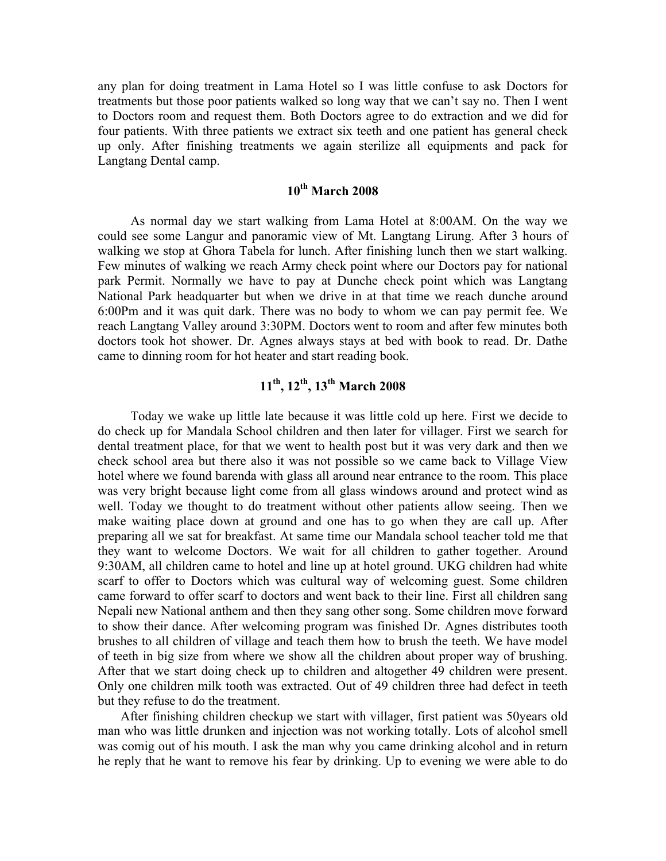any plan for doing treatment in Lama Hotel so I was little confuse to ask Doctors for treatments but those poor patients walked so long way that we can't say no. Then I went to Doctors room and request them. Both Doctors agree to do extraction and we did for four patients. With three patients we extract six teeth and one patient has general check up only. After finishing treatments we again sterilize all equipments and pack for Langtang Dental camp.

#### **10th March 2008**

 As normal day we start walking from Lama Hotel at 8:00AM. On the way we could see some Langur and panoramic view of Mt. Langtang Lirung. After 3 hours of walking we stop at Ghora Tabela for lunch. After finishing lunch then we start walking. Few minutes of walking we reach Army check point where our Doctors pay for national park Permit. Normally we have to pay at Dunche check point which was Langtang National Park headquarter but when we drive in at that time we reach dunche around 6:00Pm and it was quit dark. There was no body to whom we can pay permit fee. We reach Langtang Valley around 3:30PM. Doctors went to room and after few minutes both doctors took hot shower. Dr. Agnes always stays at bed with book to read. Dr. Dathe came to dinning room for hot heater and start reading book.

# **11th, 12th, 13th March 2008**

 Today we wake up little late because it was little cold up here. First we decide to do check up for Mandala School children and then later for villager. First we search for dental treatment place, for that we went to health post but it was very dark and then we check school area but there also it was not possible so we came back to Village View hotel where we found barenda with glass all around near entrance to the room. This place was very bright because light come from all glass windows around and protect wind as well. Today we thought to do treatment without other patients allow seeing. Then we make waiting place down at ground and one has to go when they are call up. After preparing all we sat for breakfast. At same time our Mandala school teacher told me that they want to welcome Doctors. We wait for all children to gather together. Around 9:30AM, all children came to hotel and line up at hotel ground. UKG children had white scarf to offer to Doctors which was cultural way of welcoming guest. Some children came forward to offer scarf to doctors and went back to their line. First all children sang Nepali new National anthem and then they sang other song. Some children move forward to show their dance. After welcoming program was finished Dr. Agnes distributes tooth brushes to all children of village and teach them how to brush the teeth. We have model of teeth in big size from where we show all the children about proper way of brushing. After that we start doing check up to children and altogether 49 children were present. Only one children milk tooth was extracted. Out of 49 children three had defect in teeth but they refuse to do the treatment.

 After finishing children checkup we start with villager, first patient was 50years old man who was little drunken and injection was not working totally. Lots of alcohol smell was comig out of his mouth. I ask the man why you came drinking alcohol and in return he reply that he want to remove his fear by drinking. Up to evening we were able to do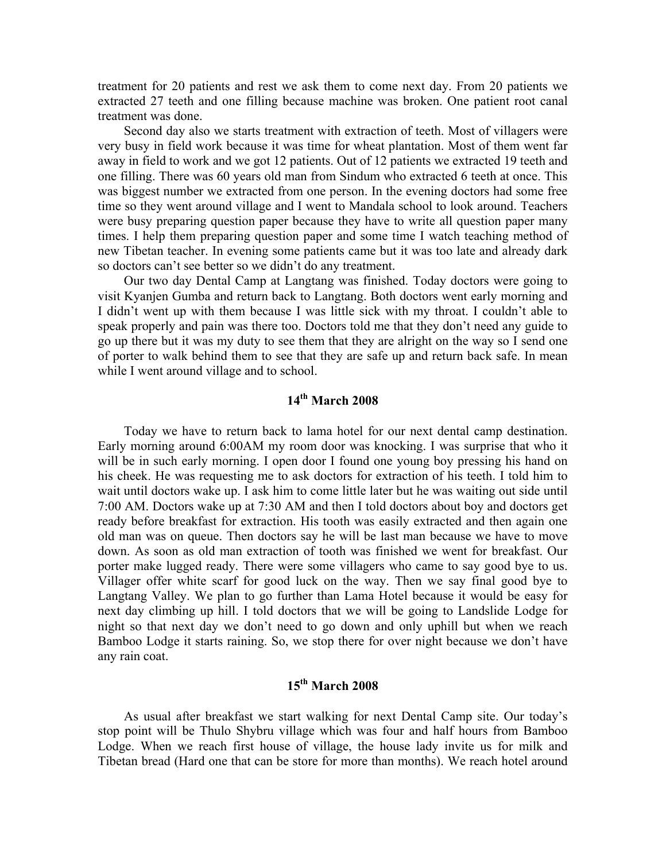treatment for 20 patients and rest we ask them to come next day. From 20 patients we extracted 27 teeth and one filling because machine was broken. One patient root canal treatment was done.

 Second day also we starts treatment with extraction of teeth. Most of villagers were very busy in field work because it was time for wheat plantation. Most of them went far away in field to work and we got 12 patients. Out of 12 patients we extracted 19 teeth and one filling. There was 60 years old man from Sindum who extracted 6 teeth at once. This was biggest number we extracted from one person. In the evening doctors had some free time so they went around village and I went to Mandala school to look around. Teachers were busy preparing question paper because they have to write all question paper many times. I help them preparing question paper and some time I watch teaching method of new Tibetan teacher. In evening some patients came but it was too late and already dark so doctors can't see better so we didn't do any treatment.

 Our two day Dental Camp at Langtang was finished. Today doctors were going to visit Kyanjen Gumba and return back to Langtang. Both doctors went early morning and I didn't went up with them because I was little sick with my throat. I couldn't able to speak properly and pain was there too. Doctors told me that they don't need any guide to go up there but it was my duty to see them that they are alright on the way so I send one of porter to walk behind them to see that they are safe up and return back safe. In mean while I went around village and to school.

#### **14th March 2008**

 Today we have to return back to lama hotel for our next dental camp destination. Early morning around 6:00AM my room door was knocking. I was surprise that who it will be in such early morning. I open door I found one young boy pressing his hand on his cheek. He was requesting me to ask doctors for extraction of his teeth. I told him to wait until doctors wake up. I ask him to come little later but he was waiting out side until 7:00 AM. Doctors wake up at 7:30 AM and then I told doctors about boy and doctors get ready before breakfast for extraction. His tooth was easily extracted and then again one old man was on queue. Then doctors say he will be last man because we have to move down. As soon as old man extraction of tooth was finished we went for breakfast. Our porter make lugged ready. There were some villagers who came to say good bye to us. Villager offer white scarf for good luck on the way. Then we say final good bye to Langtang Valley. We plan to go further than Lama Hotel because it would be easy for next day climbing up hill. I told doctors that we will be going to Landslide Lodge for night so that next day we don't need to go down and only uphill but when we reach Bamboo Lodge it starts raining. So, we stop there for over night because we don't have any rain coat.

## **15th March 2008**

 As usual after breakfast we start walking for next Dental Camp site. Our today's stop point will be Thulo Shybru village which was four and half hours from Bamboo Lodge. When we reach first house of village, the house lady invite us for milk and Tibetan bread (Hard one that can be store for more than months). We reach hotel around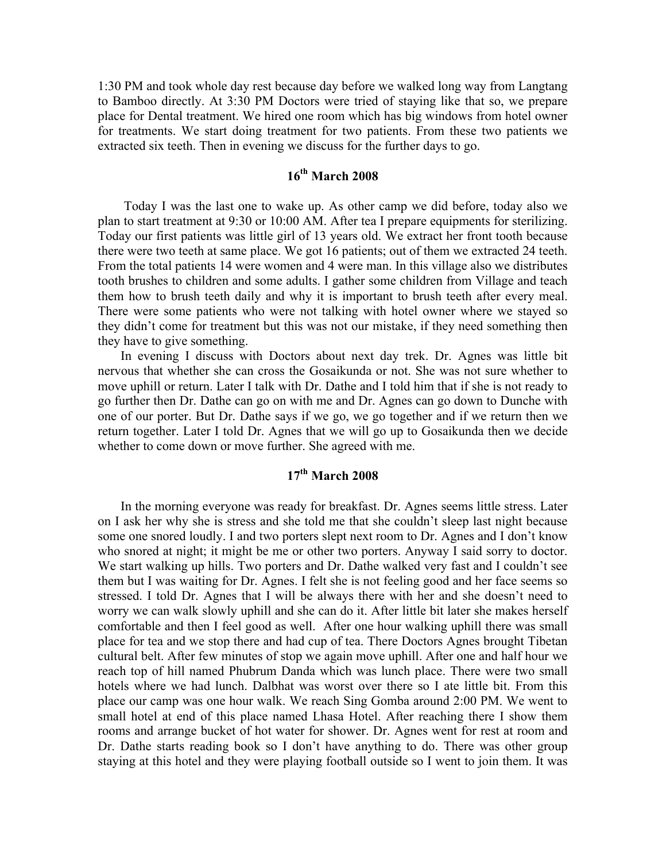1:30 PM and took whole day rest because day before we walked long way from Langtang to Bamboo directly. At 3:30 PM Doctors were tried of staying like that so, we prepare place for Dental treatment. We hired one room which has big windows from hotel owner for treatments. We start doing treatment for two patients. From these two patients we extracted six teeth. Then in evening we discuss for the further days to go.

## **16th March 2008**

 Today I was the last one to wake up. As other camp we did before, today also we plan to start treatment at 9:30 or 10:00 AM. After tea I prepare equipments for sterilizing. Today our first patients was little girl of 13 years old. We extract her front tooth because there were two teeth at same place. We got 16 patients; out of them we extracted 24 teeth. From the total patients 14 were women and 4 were man. In this village also we distributes tooth brushes to children and some adults. I gather some children from Village and teach them how to brush teeth daily and why it is important to brush teeth after every meal. There were some patients who were not talking with hotel owner where we stayed so they didn't come for treatment but this was not our mistake, if they need something then they have to give something.

 In evening I discuss with Doctors about next day trek. Dr. Agnes was little bit nervous that whether she can cross the Gosaikunda or not. She was not sure whether to move uphill or return. Later I talk with Dr. Dathe and I told him that if she is not ready to go further then Dr. Dathe can go on with me and Dr. Agnes can go down to Dunche with one of our porter. But Dr. Dathe says if we go, we go together and if we return then we return together. Later I told Dr. Agnes that we will go up to Gosaikunda then we decide whether to come down or move further. She agreed with me.

#### **17th March 2008**

 In the morning everyone was ready for breakfast. Dr. Agnes seems little stress. Later on I ask her why she is stress and she told me that she couldn't sleep last night because some one snored loudly. I and two porters slept next room to Dr. Agnes and I don't know who snored at night; it might be me or other two porters. Anyway I said sorry to doctor. We start walking up hills. Two porters and Dr. Dathe walked very fast and I couldn't see them but I was waiting for Dr. Agnes. I felt she is not feeling good and her face seems so stressed. I told Dr. Agnes that I will be always there with her and she doesn't need to worry we can walk slowly uphill and she can do it. After little bit later she makes herself comfortable and then I feel good as well. After one hour walking uphill there was small place for tea and we stop there and had cup of tea. There Doctors Agnes brought Tibetan cultural belt. After few minutes of stop we again move uphill. After one and half hour we reach top of hill named Phubrum Danda which was lunch place. There were two small hotels where we had lunch. Dalbhat was worst over there so I ate little bit. From this place our camp was one hour walk. We reach Sing Gomba around 2:00 PM. We went to small hotel at end of this place named Lhasa Hotel. After reaching there I show them rooms and arrange bucket of hot water for shower. Dr. Agnes went for rest at room and Dr. Dathe starts reading book so I don't have anything to do. There was other group staying at this hotel and they were playing football outside so I went to join them. It was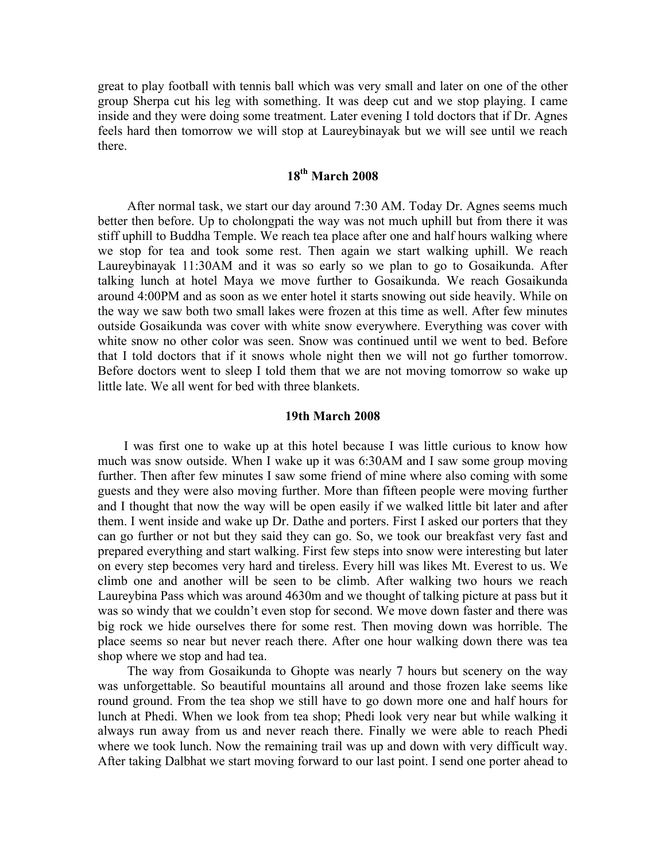great to play football with tennis ball which was very small and later on one of the other group Sherpa cut his leg with something. It was deep cut and we stop playing. I came inside and they were doing some treatment. Later evening I told doctors that if Dr. Agnes feels hard then tomorrow we will stop at Laureybinayak but we will see until we reach there.

#### **18th March 2008**

 After normal task, we start our day around 7:30 AM. Today Dr. Agnes seems much better then before. Up to cholongpati the way was not much uphill but from there it was stiff uphill to Buddha Temple. We reach tea place after one and half hours walking where we stop for tea and took some rest. Then again we start walking uphill. We reach Laureybinayak 11:30AM and it was so early so we plan to go to Gosaikunda. After talking lunch at hotel Maya we move further to Gosaikunda. We reach Gosaikunda around 4:00PM and as soon as we enter hotel it starts snowing out side heavily. While on the way we saw both two small lakes were frozen at this time as well. After few minutes outside Gosaikunda was cover with white snow everywhere. Everything was cover with white snow no other color was seen. Snow was continued until we went to bed. Before that I told doctors that if it snows whole night then we will not go further tomorrow. Before doctors went to sleep I told them that we are not moving tomorrow so wake up little late. We all went for bed with three blankets.

#### **19th March 2008**

 I was first one to wake up at this hotel because I was little curious to know how much was snow outside. When I wake up it was 6:30AM and I saw some group moving further. Then after few minutes I saw some friend of mine where also coming with some guests and they were also moving further. More than fifteen people were moving further and I thought that now the way will be open easily if we walked little bit later and after them. I went inside and wake up Dr. Dathe and porters. First I asked our porters that they can go further or not but they said they can go. So, we took our breakfast very fast and prepared everything and start walking. First few steps into snow were interesting but later on every step becomes very hard and tireless. Every hill was likes Mt. Everest to us. We climb one and another will be seen to be climb. After walking two hours we reach Laureybina Pass which was around 4630m and we thought of talking picture at pass but it was so windy that we couldn't even stop for second. We move down faster and there was big rock we hide ourselves there for some rest. Then moving down was horrible. The place seems so near but never reach there. After one hour walking down there was tea shop where we stop and had tea.

 The way from Gosaikunda to Ghopte was nearly 7 hours but scenery on the way was unforgettable. So beautiful mountains all around and those frozen lake seems like round ground. From the tea shop we still have to go down more one and half hours for lunch at Phedi. When we look from tea shop; Phedi look very near but while walking it always run away from us and never reach there. Finally we were able to reach Phedi where we took lunch. Now the remaining trail was up and down with very difficult way. After taking Dalbhat we start moving forward to our last point. I send one porter ahead to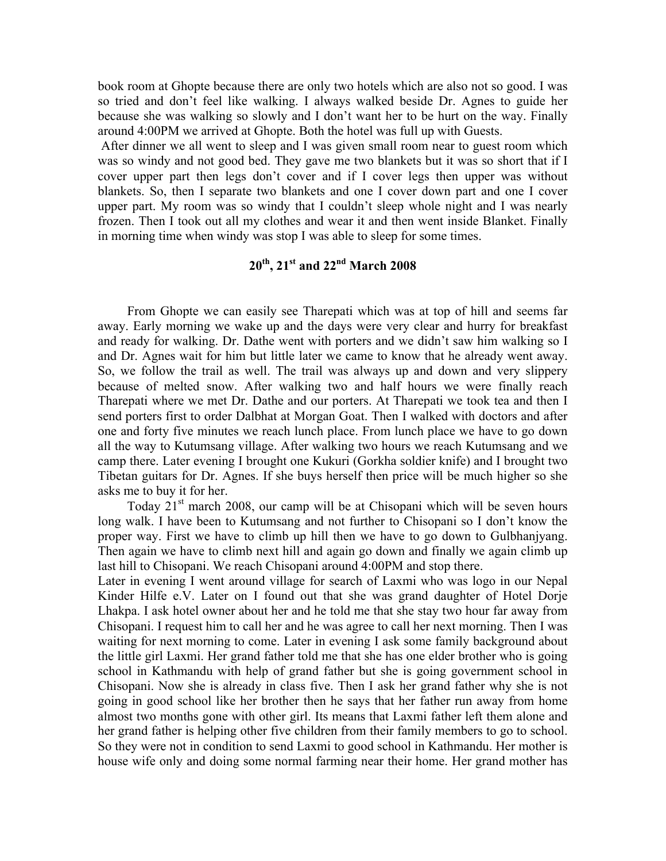book room at Ghopte because there are only two hotels which are also not so good. I was so tried and don't feel like walking. I always walked beside Dr. Agnes to guide her because she was walking so slowly and I don't want her to be hurt on the way. Finally around 4:00PM we arrived at Ghopte. Both the hotel was full up with Guests.

 After dinner we all went to sleep and I was given small room near to guest room which was so windy and not good bed. They gave me two blankets but it was so short that if I cover upper part then legs don't cover and if I cover legs then upper was without blankets. So, then I separate two blankets and one I cover down part and one I cover upper part. My room was so windy that I couldn't sleep whole night and I was nearly frozen. Then I took out all my clothes and wear it and then went inside Blanket. Finally in morning time when windy was stop I was able to sleep for some times.

# **20th, 21st and 22nd March 2008**

 From Ghopte we can easily see Tharepati which was at top of hill and seems far away. Early morning we wake up and the days were very clear and hurry for breakfast and ready for walking. Dr. Dathe went with porters and we didn't saw him walking so I and Dr. Agnes wait for him but little later we came to know that he already went away. So, we follow the trail as well. The trail was always up and down and very slippery because of melted snow. After walking two and half hours we were finally reach Tharepati where we met Dr. Dathe and our porters. At Tharepati we took tea and then I send porters first to order Dalbhat at Morgan Goat. Then I walked with doctors and after one and forty five minutes we reach lunch place. From lunch place we have to go down all the way to Kutumsang village. After walking two hours we reach Kutumsang and we camp there. Later evening I brought one Kukuri (Gorkha soldier knife) and I brought two Tibetan guitars for Dr. Agnes. If she buys herself then price will be much higher so she asks me to buy it for her.

Today  $21<sup>st</sup>$  march 2008, our camp will be at Chisopani which will be seven hours long walk. I have been to Kutumsang and not further to Chisopani so I don't know the proper way. First we have to climb up hill then we have to go down to Gulbhanjyang. Then again we have to climb next hill and again go down and finally we again climb up last hill to Chisopani. We reach Chisopani around 4:00PM and stop there.

Later in evening I went around village for search of Laxmi who was logo in our Nepal Kinder Hilfe e.V. Later on I found out that she was grand daughter of Hotel Dorje Lhakpa. I ask hotel owner about her and he told me that she stay two hour far away from Chisopani. I request him to call her and he was agree to call her next morning. Then I was waiting for next morning to come. Later in evening I ask some family background about the little girl Laxmi. Her grand father told me that she has one elder brother who is going school in Kathmandu with help of grand father but she is going government school in Chisopani. Now she is already in class five. Then I ask her grand father why she is not going in good school like her brother then he says that her father run away from home almost two months gone with other girl. Its means that Laxmi father left them alone and her grand father is helping other five children from their family members to go to school. So they were not in condition to send Laxmi to good school in Kathmandu. Her mother is house wife only and doing some normal farming near their home. Her grand mother has